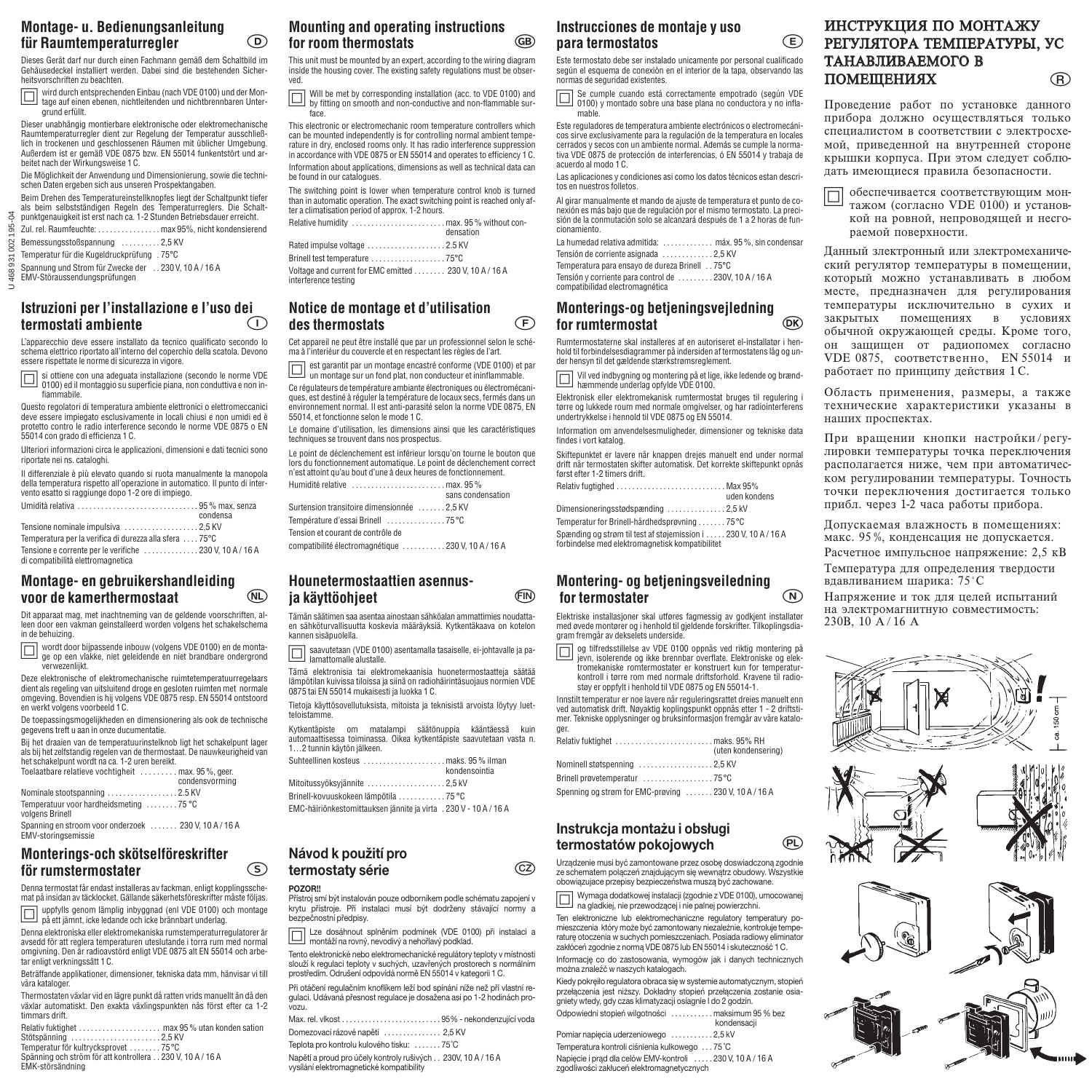### **Montage- u. Bedienungsanleitung für Raumtemperaturregler**  $\odot$

Dieses Gerät darf nur durch einen Fachmann gemäß dem Schaltbild im Gehäusedeckel installiert werden. Dabei sind die bestehenden Sicherheitsvorschriften zu beachten.

Ö wird durch entsprechenden Einbau (nach VDE 0100) und der Mon-tage auf einen ebenen, nichtleitenden und nichtbrennbaren Untergrund erfüllt.

Dieser unabhängig montierbare elektronische oder elektromechanische Raumtemperaturregler dient zur Regelung der Temperatur ausschließ-lich in trockenen und geschlossenen Räumen mit üblicher Umgebung. Außerdem ist er gemäß VDE 0875 bzw. EN 55014 funkentstört und arbeitet nach der Wirkungsweise 1 C.

Die Möglichkeit der Anwendung und Dimensionierung, sowie die technischen Daten ergeben sich aus unseren Prospektangaben. Beim Drehen des Temperatureinstellknopfes liegt der Schaltpunkt tiefer

als beim selbstständigen Regeln des Temperaturreglers. Die Schaltpunktgenauigkeit ist erst nach ca. 1-2 Stunden Betriebsdauer erreicht.

195 Zul. rel. Raumfeuchte: . . . . . . . . . . . . . . . . max 95%, nicht kondensierend

Bemessungsstoßspannung . . . . . . . . . . 2,5 KV

Temperatur für die Kugeldruckprüfung . 75°C Spannung und Strom für Zwecke der . . 230 V, 10 A / 16 A

EMV-Störaussendungsprüfungen

U 468 931 002 195-04 468931

 $\geq$ 

 $002$ 

## **Istruzioni per l'installazione e l'uso dei termostati ambiente**

L'apparecchio deve essere installato da tecnico qualificato secondo lo schema elettrico riportato all'interno del coperchio della scatola. Devono essere rispettate le norme di sicurezza in vigore.

Ö si ottiene con una adeguata installazione (secondo le norme VDE 0100) ed il montaggio su superficie piana, non conduttiva e non in-fiammabile.

Questo regolatori di temperatura ambiente elettronici o elettromeccanici deve essere impiegato esclusivamente in locali chiusi e non umidi ed è protetto contro le radio interference secondo le norme VDE 0875 o EN 55014 con grado di efficienza 1 C.

Ulteriori informazioni circa le applicazioni, dimensioni e dati tecnici sono riportate nei ns. cataloghi.

Il differenziale è più elevato quando si ruota manualmente la manopola della temperatura rispetto all'operazione in automatico. Il punto di intervento esatto si raggiunge dopo 1-2 ore di impiego.

|                                                          | condensa |
|----------------------------------------------------------|----------|
|                                                          |          |
| Temperatura per la verifica di durezza alla sfera  75 °C |          |
| Tensione e corrente per le verifiche 230 V, 10 A / 16 A  |          |
| di compatibilità elettromagnetica                        |          |

### **Montage- en gebruikershandleiding voor de kamerthermostaat**

Dit apparaat mag, met inachtneming van de geldende voorschriften, alleen door een vakman geinstalleerd worden volgens het schakelschema in de behuizing.

**The wordt door bijpassende inbouw (volgens VDE 0100) en de monta-**<br>The on een vlakke, niet geleidende en niet brandbare ondergrond ge op een vlakke, niet geleidende en niet brandbare ondergrond verwezenlijkt.

Deze elektronische of elektromechanische ruimtetemperatuurregelaars dient als regeling van uitsluitend droge en gesloten ruimten met normale omgeving. Bovendien is hij volgens VDE 0875 resp. EN 55014 ontstoord en werkt volgens voorbeeld 1C.

De toepassingsmogelijkheden en dimensionering als ook de technische gegevens treft u aan in onze ducumentatie.

Bij het draaien van de temperatuurinstelknob ligt het schakelpunt lager als bij het zelfstandig regelen van de thermostaat. De nauwkeurigheid van het schakelpunt wordt na ca. 1-2 uren bereikt.

| Toelaatbare relatieve vochtigheit  max. 95%, geer.        | condensvorming |
|-----------------------------------------------------------|----------------|
| Nominale stootspanning 2.5 KV                             |                |
| Temperatuur voor hardheidsmeting 75 °C<br>volgens Brinell |                |
| Spanning en stroom voor onderzoek  230 V, 10 A / 16 A     |                |

EMV-storingsemissie

## **Monterings-och skötselföreskrifter för rumstermostater**

Denna termostat får endast installeras av fackman, enligt kopplingsschemat på insidan av täcklocket. Gällande säkerhetsföreskrifter måste följas. Ö uppfylls genom lämplig inbyggnad (enl VDE 0100) och montage på ett jämnt, icke ledande och icke brännbart underlag.

Denna elektroniska eller elektromekaniska rumstemperaturregulatorer är avsedd för att reglera temperaturen uteslutande i torra rum med normal omgivning. Den är radioavstörd enligt VDE 0875 alt EN 55014 och arbetar enligt verkningssätt 1 C.

Beträffande applikationer, dimensioner, tekniska data mm, hänvisar vi till våra kataloger.

Thermostaten växlar vid en lägre punkt då ratten vrids manuellt än då den växlar automatiskt. Den exakta växlingspunkten nås först efter ca 1-2

| VUAIUI UULUIIIULIJIN. DUII UAUNU VUAIIIIUJUUIIINUII IIUJ IUIJL UILUI UU I<br>timmars drift. |
|---------------------------------------------------------------------------------------------|
|                                                                                             |
| Stötspänning 2,5 KV                                                                         |
| Temperatur för kultrycksprovet 75°C                                                         |
| Spänning och ström för att kontrollera 230 V. 10 A/16 A                                     |
| EMK-störsändning                                                                            |

# **Mounting and operating instructions for room thermostats**

This unit must be mounted by an expert, according to the wiring diagram inside the housing cover. The existing safety regulations must be observed.

Ö Will be met by corresponding installation (acc. to VDE 0100) and by fitting on smooth and non-conductive and non-flammable sur-face.

This electronic or electromechanic room temperature controllers which can be mounted independently is for controlling normal ambient temperature in dry, enclosed rooms only. It has radio interference suppression in accordance with VDE 0875 or EN 55014 and operates to efficiency 1 C. Information about applications, dimensions as well as technical data can be found in our catalogues.

The switching point is lower when temperature control knob is turned than in automatic operation. The exact switching point is reached only after a climatisation period of approx. 1-2 hours.

|                                                                                 | densation |
|---------------------------------------------------------------------------------|-----------|
|                                                                                 |           |
|                                                                                 |           |
| Voltage and current for EMC emitted  230 V, 10 A / 16 A<br>interference testing |           |
|                                                                                 |           |

# **Notice de montage et d'utilisation des thermostats**

Cet appareil ne peut être installé que par un professionnel selon le schéma à l'interiéur du couvercle et en respectant les règles de l'art.

Ö est garantit par un montage encastré conforme (VDE 0100) et par un montage sur un fond plat, non conducteur et ininflammable.

Ce régulateurs de température ambiante électroniques ou électromécaniques, est destiné à réguler la température de locaux secs, fermés dans un environnement normal. Il est anti-parasité selon la norme VDE 0875, EN 55014, et fonctionne selon le mode 1 C.

Le domaine d'utilisation, les dimensions ainsi que les caractéristiques techniques se trouvent dans nos prospectus.

Le point de déclenchement est inférieur lorsqu'on tourne le bouton que lors du fonctionnement automatique. Le point de déclenchement correct n'est attoint qu'au bout d'une à deux heures de fonctionnement. Humidité relative . . . . . . . . . . . . . . . . . . . . . . . . max. 95 %

|                                                    | sans condensation |
|----------------------------------------------------|-------------------|
| Surtension transitoire dimensionnée 2.5 KV         |                   |
|                                                    |                   |
| Tension et courant de contrôle de                  |                   |
| compatibilité électromagnétique 230 V. 10 A / 16 A |                   |

#### **Hounetermostaattien asennusja käyttöohjeet FIN**

Tämän säätimen saa asentaa ainostaan sähköalan ammattimies noudattaen sähköturvallisuutta koskevia määräyksiä. Kytkentäkaava on kotelon kannen sisäpuolella.

Ö saavutetaan (VDE 0100) asentamalla tasaiselle, ei-johtavalle ja pa-lamattomalle alustalle.

Tämä elektronisia tai elektromekaanisia huonetermostaatteja säätää lämpötilan kuivissa tiloissa ja siinä on radiohäirintäsuojaus normien VDE 0875 tai EN 55014 mukaisesti ja luokka 1 C.

Tietoja käyttösovellutuksista, mitoista ja teknisistä arvoista löytyy luetteloistamme.

Kytkentäpiste om matalampi säätönuppia kääntäessä kuin automaattisessa toiminassa. Oikea kytkentäpiste saavutetaan vasta n. 1…2 tunnin käytön jälkeen.

|                                                                   | kondensointia |
|-------------------------------------------------------------------|---------------|
| Mitoitussyöksyjännite 2,5 kV                                      |               |
| Brinell-kovuuskokeen lämpötila 75 °C                              |               |
| EMC-häiriönkestomittauksen jännite ja virta . 230 V - 10 A / 16 A |               |

#### **Návod k použití pro termostaty série CZ**

#### **POZOR!!**

Přístroj smí být instalován pouze odborníkem podle schématu zapojení v krytu přístroje. Pří instalaci musí být dodrženy stávající normy a bezpečnostní předpisy.

Ö Lze dosáhnout splněním podmínek (VDE 0100) při instalaci a montáží na rovný, nevodivý a nehořlavý podklad.

Tento elektronické nebo elektromechanické regulátory teploty v místnosti slouží k regulaci teploty v suchých, uzavřených prostorech s normálním prostředím. Odrušení odpovídá normě EN 55014 v kategorii 1 C.

Při otáčení regulačním knoflíkem leží bod spínání níže než pří vlastní regulaci. Udávaná přesnost regulace je dosažena asi po 1-2 hodinách provozu.

| Domezovací rázové napětí  2,5 KV                                                                         |  |
|----------------------------------------------------------------------------------------------------------|--|
| Teplota pro kontrolu kulového tisku:  75°C                                                               |  |
| Napětí a proud pro účely kontroly rušivých 230V, 10 A / 16 A<br>vysílání elektromagnetické kompatibility |  |

# **Instrucciones de montaje y uso para termostatos**

Este termostato debe ser instalado unicamente por personal cualificado según el esquema de conexiòn en el interior de la tapa, observando las normas de seguridad existentes.

Ö Se cumple cuando está correctamente empotrado (según VDE 0100) y montado sobre una base plana no conductora y no infla-mable.

Este reguladores de temperatura ambiente electrónicos o electromecánicos sirve exclusivamente para la regulación de la temperatura en locales cerrados y secos con un ambiente normal. Además se cumple la normativa VDE 0875 de protección de interferencias, ó EN 55014 y trabaja de acuerdo al modo 1 C.

Las aplicaciones y condiciones asi como los datos técnicos estan descritos en nuestros folletos.

Al girar manualmente et mando de ajuste de temperatura et punto de conexión es más bajo que de regulación por el mismo termostato. La precisión de la conmutación solo se alcanzará después de 1 a 2 horas de funcionamiento.

La humedad relativa admitida: ............. máx. 95%, sin condensar Tensión de corriente asignada . . . . . . . . . . . . . 2,5 KV Temperatura para ensayo de dureza Brinell . . 75°C Tensión y corriente para control de . . . . . . . . . 230V, 10 A / 16 A

# **Monterings-og betjeningsvejledning for rumtermostat**

compatibilidad electromagnética

Rumtermostaterne skal installeres af en autoriseret el-installatør i henhold til forbindelsesdiagrammer på indersiden af termostatens låg og un-der hensyn til det gældende stærkstrømsreglement.

Ö Vil ved indbygning og montering på et lige, ikke ledende og brænd-hæmmende underlag opfylde VDE 0100.

Elektronisk eller elektromekanisk rumtermostat bruges til regulering i tørre og lukkede roum med normale omgivelser, og har radiointerferens undertrykkelse i hennold til VDE 0875 og EN 55014.

Information om anvendelsesmuligheder, dimensioner og tekniske data findes i vort katalog.

Skiftepunktet er lavere når knappen drejes manuelt end under normal drift når termostaten skifter automatisk. Det korrekte skiftepunkt opnås først efter 1-2 timers drift.

| Relativ fugtighed Max 95% |  |  |  |  |              |  |
|---------------------------|--|--|--|--|--------------|--|
|                           |  |  |  |  | uden kondens |  |

| Dimensioneringsstødspænding 2,5 kV           |                      |
|----------------------------------------------|----------------------|
| Temperatur for Brinell-hårdhedsprøvning 75°C |                      |
| Cnœnding og etram til teet af etajemieejon i | $230$ V $10$ A $/16$ |

 $. .230$  V, 10 A / 16 A forbindelse med elektromagnetisk kompatibilitet

# **Montering- og betjeningsveiledning for termostater**

Elektriske installasjoner skal utføres fagmessig av godkjent installatør med øvede montører og i henhold til gjeldende forskrifter. Tilkoplingsdiagram fremgår av dekselets underside.

Ö og tilfredsstillelse av VDE 0100 oppnås ved riktig montering på jevn, isolerende og ikke brennbar overflate. Elektroniske og elektromekaniske romtermostater er konstruert kun for temperaturkontroll i tørre rom med normale driftsforhold. Kravene til radiostøy er oppfylt i henhold til VDE 0875 og EN 55014-1.

Innstilt temperatur er noe lavere når reguleringsrattet dreies manuelt enn ved automatisk drift. Nøyaktig koplingspunkt oppnås etter 1 - 2 driftstimer. Tekniske opplysninger og bruksinformasjon fremgår av våre kataloger.

|                                                    | (uten kondensering) |
|----------------------------------------------------|---------------------|
| Nominell støtspenning 2,5 KV                       |                     |
|                                                    |                     |
| Spenning og strøm for EMC-prøving 230 V, 10 A/16 A |                     |

# **Instrukcja montażu i obsługi termostatów pokojowych**

Urządzenie musi być zamontowane przez osobę doswiadczoną zgodnie ze schematem polączeń znajdującym się wewnątrz obudowy. Wszystkie obowiązujace przepisy bezpieczeństwa muszą być zachowane.

Ö Wymaga dodatkowej instalacji (zgodnie z VDE 0100), umocowanej na gladkiej, nie przewodzącej i nie palnej powierzchni. Ten elektroniczne lub elektromechaniczne regulatory temperatury po-

mieszczenia który może być zamontowany niezależnie, kontroluje temperaturę otoczenia w suchych pomieszczeniach. Posiada radiowy eliminator zakłóceń zgodnie z normą VDE 0875 lub EN 55014 i skuteczność 1 C.

Informację co do zastosowania, wymogów jak i danych technicznych można znaleźć w naszych katalogach.

Kiedy pokręiło regulatora obraca się w systemie automatycznym, stopień przełączenia jest niższy. Dokładny stopień przełączenia zostanie osiagniety wtedy, gdy czas klimatyzacji osíagníe I do 2 godzín. Odpowiedni stopień wilgotności . . . . . . . . . . . maksimum 95 % bez

|                                                                                                        | Odpowiedni stopień wilgotności  maksimum 95 % bez |
|--------------------------------------------------------------------------------------------------------|---------------------------------------------------|
|                                                                                                        | kondensacii                                       |
| Pomiar napiecia uderzeniowego 2,5 kV                                                                   |                                                   |
| Temperatura kontroli ciśnienia kulkowego  75°C                                                         |                                                   |
| Napiecie i prad dla celów EMV-kontroli 230 V, 10 A / 16 A<br>zgodliwości zakłuceń elektromagnetycznych |                                                   |

#### ИНСТРУКЦИЯ ПО МОНТАЖУ PETYJIЯТОРА ТЕМПЕРАТУРЫ, УС ТАНАВЛИВАЕМОГО В ПОМЕЩЕНИЯХ **R**

Проведение работ по установке данного прибора должно осуществляться только  $\overline{C}$ пениалистом в соответствии с электросхемой, приведенной на внутренней стороне крышки корпуса. При этом следует соблюпать имеющиеся правила безопасности.

 $\Box$  обеспечивается соответствующим монтажом (согласно VDE 0100) и установкой на ровной, непроводящей и несгораемой поверхности.

Данный злектронный или злектромеханический регулятор температуры в помещении, который можно устанавливать в любом месте, предназначен для регулирования температуры исключительно в сухих и закрытых помещениях в условиях обычной окружающей среды. Кроме того, он защищен от радиопомех согласно VDE 0875, соответственно, EN 55014 и работает по принципу действия 1 С.

Область применения, размеры, а также технические характеристики указаны в наших проспектах.

При вращении кнопки настройки/регулировки температуры точка переключения располагается ниже, чем при автоматическом регулировании температуры. Точность точки переключения достигается только прибл. через 1-2 часа работы прибора.

Попускаемая влажность в помешениях· макс. 95 %, конденсация не допускается. Расчетное импульсное напряжение: 2,5 кВ Температура для определения твердости

вдавливанием шарика: 75°С Напряжение и ток для целей испытаний на электромагнитную совместимость:

230B, 10 A/16 A